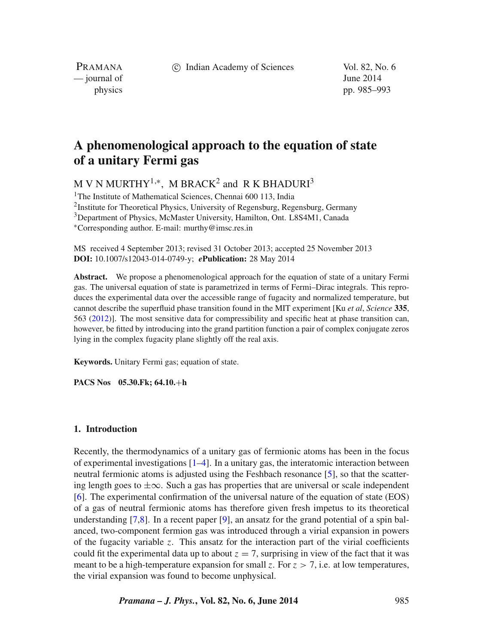c Indian Academy of Sciences Vol. 82, No. 6

PRAMANA — journal of June 2014

physics pp. 985–993

# **A phenomenological approach to the equation of state of a unitary Fermi gas**

M V N MURTHY<sup>1,\*</sup>, M BRACK<sup>2</sup> and R K BHADURI<sup>3</sup>

<sup>1</sup>The Institute of Mathematical Sciences, Chennai 600 113, India <sup>2</sup>Institute for Theoretical Physics, University of Regensburg, Regensburg, Germany <sup>3</sup>Department of Physics, McMaster University, Hamilton, Ont. L8S4M1, Canada ∗Corresponding author. E-mail: murthy@imsc.res.in

MS received 4 September 2013; revised 31 October 2013; accepted 25 November 2013 **DOI:** 10.1007/s12043-014-0749-y; *e***Publication:** 28 May 2014

**Abstract.** We propose a phenomenological approach for the equation of state of a unitary Fermi gas. The universal equation of state is parametrized in terms of Fermi–Dirac integrals. This reproduces the experimental data over the accessible range of fugacity and normalized temperature, but cannot describe the superfluid phase transition found in the MIT experiment [Ku *et al*, *Science* **335**, 563 [\(2012\)](#page-8-0)]. The most sensitive data for compressibility and specific heat at phase transition can, however, be fitted by introducing into the grand partition function a pair of complex conjugate zeros lying in the complex fugacity plane slightly off the real axis.

**Keywords.** Unitary Fermi gas; equation of state.

**PACS Nos 05.30.Fk; 64.10.**+**h**

#### **1. Introduction**

Recently, the thermodynamics of a unitary gas of fermionic atoms has been in the focus of experimental investigations  $[1-4]$  $[1-4]$ . In a unitary gas, the interatomic interaction between neutral fermionic atoms is adjusted using the Feshbach resonance [\[5\]](#page-8-2), so that the scattering length goes to  $\pm\infty$ . Such a gas has properties that are universal or scale independent [\[6\]](#page-8-3). The experimental confirmation of the universal nature of the equation of state (EOS) of a gas of neutral fermionic atoms has therefore given fresh impetus to its theoretical understanding  $[7,8]$  $[7,8]$ . In a recent paper  $[9]$ , an ansatz for the grand potential of a spin balanced, two-component fermion gas was introduced through a virial expansion in powers of the fugacity variable *z*. This ansatz for the interaction part of the virial coefficients could fit the experimental data up to about  $z = 7$ , surprising in view of the fact that it was meant to be a high-temperature expansion for small *z*. For  $z > 7$ , i.e. at low temperatures, the virial expansion was found to become unphysical.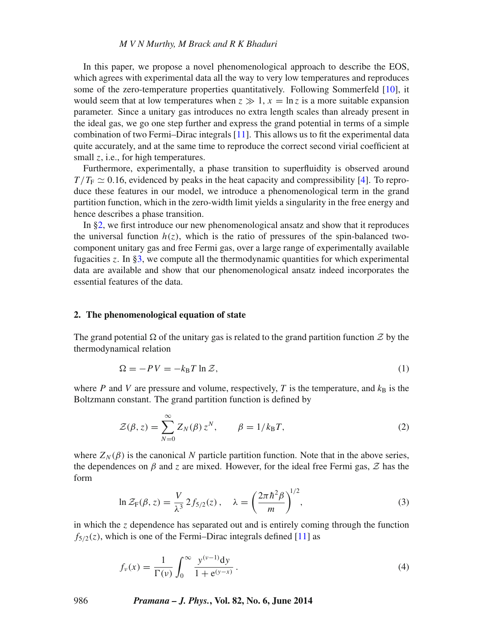In this paper, we propose a novel phenomenological approach to describe the EOS, which agrees with experimental data all the way to very low temperatures and reproduces some of the zero-temperature properties quantitatively. Following Sommerfeld [\[10\]](#page-8-7), it would seem that at low temperatures when  $z \gg 1$ ,  $x = \ln z$  is a more suitable expansion parameter. Since a unitary gas introduces no extra length scales than already present in the ideal gas, we go one step further and express the grand potential in terms of a simple combination of two Fermi–Dirac integrals [\[11\]](#page-8-8). This allows us to fit the experimental data quite accurately, and at the same time to reproduce the correct second virial coefficient at small *z*, i.e., for high temperatures.

Furthermore, experimentally, a phase transition to superfluidity is observed around  $T/T_F \simeq 0.16$ , evidenced by peaks in the heat capacity and compressibility [\[4\]](#page-8-0). To reproduce these features in our model, we introduce a phenomenological term in the grand partition function, which in the zero-width limit yields a singularity in the free energy and hence describes a phase transition.

In [§2,](#page-1-0) we first introduce our new phenomenological ansatz and show that it reproduces the universal function  $h(z)$ , which is the ratio of pressures of the spin-balanced twocomponent unitary gas and free Fermi gas, over a large range of experimentally available fugacities *z*. In [§3,](#page-4-0) we compute all the thermodynamic quantities for which experimental data are available and show that our phenomenological ansatz indeed incorporates the essential features of the data.

### <span id="page-1-0"></span>**2. The phenomenological equation of state**

The grand potential  $\Omega$  of the unitary gas is related to the grand partition function  $\mathcal Z$  by the thermodynamical relation

$$
\Omega = -PV = -k_{\text{B}}T \ln \mathcal{Z},\tag{1}
$$

where *P* and *V* are pressure and volume, respectively, *T* is the temperature, and  $k_B$  is the Boltzmann constant. The grand partition function is defined by

$$
\mathcal{Z}(\beta, z) = \sum_{N=0}^{\infty} Z_N(\beta) z^N, \qquad \beta = 1/k_B T,
$$
 (2)

<span id="page-1-1"></span>where  $Z_N(\beta)$  is the canonical N particle partition function. Note that in the above series, the dependences on  $\beta$  and  $\zeta$  are mixed. However, for the ideal free Fermi gas,  $\zeta$  has the form

$$
\ln \mathcal{Z}_{\mathrm{F}}(\beta, z) = \frac{V}{\lambda^3} 2f_{5/2}(z), \quad \lambda = \left(\frac{2\pi \hbar^2 \beta}{m}\right)^{1/2},\tag{3}
$$

in which the *z* dependence has separated out and is entirely coming through the function  $f_{5/2}(z)$ , which is one of the Fermi–Dirac integrals defined [\[11\]](#page-8-8) as

<span id="page-1-2"></span>
$$
f_{\nu}(x) = \frac{1}{\Gamma(\nu)} \int_0^{\infty} \frac{y^{(\nu-1)} dy}{1 + e^{(y-x)}}.
$$
 (4)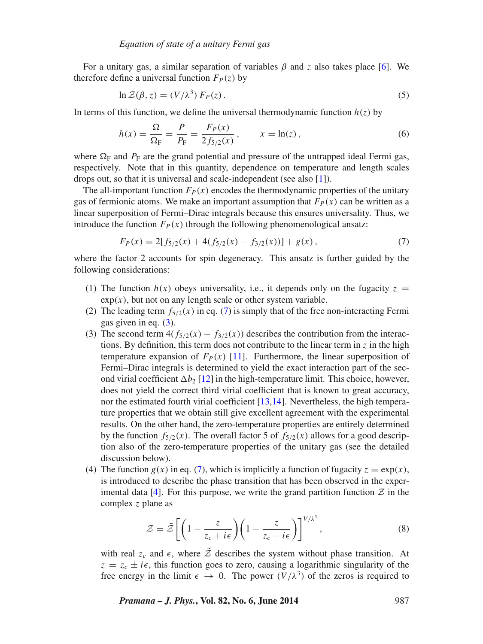For a unitary gas, a similar separation of variables *β* and *z* also takes place [\[6\]](#page-8-3). We therefore define a universal function  $F_P(z)$  by

<span id="page-2-2"></span><span id="page-2-1"></span>
$$
\ln \mathcal{Z}(\beta, z) = (V/\lambda^3) F_P(z). \tag{5}
$$

In terms of this function, we define the universal thermodynamic function  $h(z)$  by

$$
h(x) = \frac{\Omega}{\Omega_{\rm F}} = \frac{P}{P_{\rm F}} = \frac{F_P(x)}{2f_{5/2}(x)}, \qquad x = \ln(z), \tag{6}
$$

where  $\Omega_F$  and  $P_F$  are the grand potential and pressure of the untrapped ideal Fermi gas, respectively. Note that in this quantity, dependence on temperature and length scales drops out, so that it is universal and scale-independent (see also [\[1\]](#page-8-1)).

The all-important function  $F_P(x)$  encodes the thermodynamic properties of the unitary gas of fermionic atoms. We make an important assumption that  $F_P(x)$  can be written as a linear superposition of Fermi–Dirac integrals because this ensures universality. Thus, we introduce the function  $F_P(x)$  through the following phenomenological ansatz:

<span id="page-2-0"></span>
$$
F_P(x) = 2[f_{5/2}(x) + 4(f_{5/2}(x) - f_{3/2}(x))] + g(x),
$$
\n(7)

where the factor 2 accounts for spin degeneracy. This ansatz is further guided by the following considerations:

- (1) The function  $h(x)$  obeys universality, i.e., it depends only on the fugacity  $z =$  $exp(x)$ , but not on any length scale or other system variable.
- (2) The leading term  $f_{5/2}(x)$  in eq. [\(7\)](#page-2-0) is simply that of the free non-interacting Fermi gas given in eq. [\(3\)](#page-1-1).
- (3) The second term  $4(f_{5/2}(x) f_{3/2}(x))$  describes the contribution from the interactions. By definition, this term does not contribute to the linear term in  $\zeta$  in the high temperature expansion of  $F_P(x)$  [\[11\]](#page-8-8). Furthermore, the linear superposition of Fermi–Dirac integrals is determined to yield the exact interaction part of the second virial coefficient  $\Delta b_2$  [\[12\]](#page-8-9) in the high-temperature limit. This choice, however, does not yield the correct third virial coefficient that is known to great accuracy, nor the estimated fourth virial coefficient [\[13](#page-8-10)[,14\]](#page-8-11). Nevertheless, the high temperature properties that we obtain still give excellent agreement with the experimental results. On the other hand, the zero-temperature properties are entirely determined by the function  $f_{5/2}(x)$ . The overall factor 5 of  $f_{5/2}(x)$  allows for a good description also of the zero-temperature properties of the unitary gas (see the detailed discussion below).
- (4) The function  $g(x)$  in eq. [\(7\)](#page-2-0), which is implicitly a function of fugacity  $z = \exp(x)$ , is introduced to describe the phase transition that has been observed in the exper-imental data [\[4\]](#page-8-0). For this purpose, we write the grand partition function  $\mathcal Z$  in the complex *z* plane as

$$
\mathcal{Z} = \tilde{\mathcal{Z}} \left[ \left( 1 - \frac{z}{z_c + i\epsilon} \right) \left( 1 - \frac{z}{z_c - i\epsilon} \right) \right]^{V/\lambda^3},\tag{8}
$$

with real  $z_c$  and  $\epsilon$ , where  $\tilde{z}$  describes the system without phase transition. At  $z = z_c \pm i\epsilon$ , this function goes to zero, causing a logarithmic singularity of the free energy in the limit  $\epsilon \to 0$ . The power  $(V/\lambda^3)$  of the zeros is required to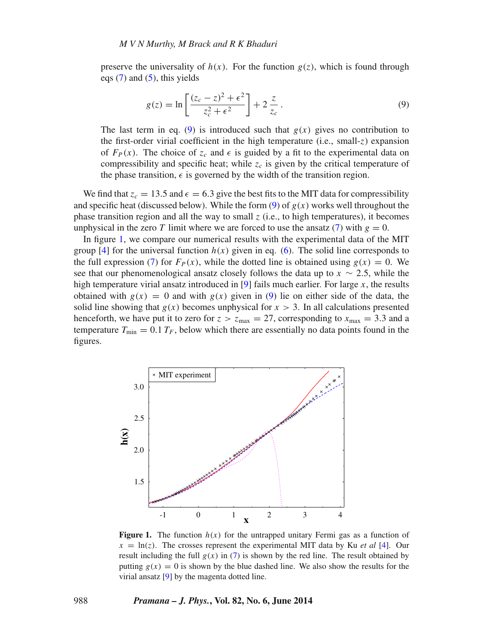preserve the universality of  $h(x)$ . For the function  $g(z)$ , which is found through eqs  $(7)$  and  $(5)$ , this yields

<span id="page-3-0"></span>
$$
g(z) = \ln \left[ \frac{(z_c - z)^2 + \epsilon^2}{z_c^2 + \epsilon^2} \right] + 2 \frac{z}{z_c}.
$$
 (9)

The last term in eq. [\(9\)](#page-3-0) is introduced such that  $g(x)$  gives no contribution to the first-order virial coefficient in the high temperature (i.e., small-*z*) expansion of  $F_P(x)$ . The choice of  $z_c$  and  $\epsilon$  is guided by a fit to the experimental data on compressibility and specific heat; while  $z_c$  is given by the critical temperature of the phase transition,  $\epsilon$  is governed by the width of the transition region.

We find that  $z_c = 13.5$  and  $\epsilon = 6.3$  give the best fits to the MIT data for compressibility and specific heat (discussed below). While the form  $(9)$  of  $g(x)$  works well throughout the phase transition region and all the way to small *z* (i.e., to high temperatures), it becomes unphysical in the zero *T* limit where we are forced to use the ansatz [\(7\)](#page-2-0) with  $g = 0$ .

In figure [1,](#page-3-1) we compare our numerical results with the experimental data of the MIT group [\[4\]](#page-8-0) for the universal function  $h(x)$  given in eq. [\(6\)](#page-2-2). The solid line corresponds to the full expression [\(7\)](#page-2-0) for  $F_P(x)$ , while the dotted line is obtained using  $g(x) = 0$ . We see that our phenomenological ansatz closely follows the data up to  $x \sim 2.5$ , while the high temperature virial ansatz introduced in [\[9\]](#page-8-6) fails much earlier. For large *x*, the results obtained with  $g(x) = 0$  and with  $g(x)$  given in [\(9\)](#page-3-0) lie on either side of the data, the solid line showing that  $g(x)$  becomes unphysical for  $x > 3$ . In all calculations presented henceforth, we have put it to zero for  $z > z_{\text{max}} = 27$ , corresponding to  $x_{\text{max}} = 3.3$  and a temperature  $T_{\text{min}} = 0.1 T_F$ , below which there are essentially no data points found in the figures.

<span id="page-3-1"></span>

**Figure 1.** The function  $h(x)$  for the untrapped unitary Fermi gas as a function of  $x = \ln(z)$ . The crosses represent the experimental MIT data by Ku *et al* [\[4\]](#page-8-0). Our result including the full  $g(x)$  in [\(7\)](#page-2-0) is shown by the red line. The result obtained by putting  $g(x) = 0$  is shown by the blue dashed line. We also show the results for the virial ansatz [\[9\]](#page-8-6) by the magenta dotted line.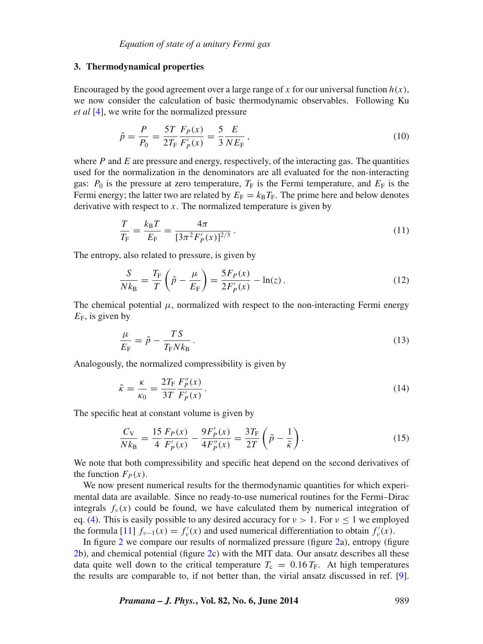### <span id="page-4-0"></span>**3. Thermodynamical properties**

Encouraged by the good agreement over a large range of x for our universal function  $h(x)$ , we now consider the calculation of basic thermodynamic observables. Following Ku *et al* [\[4\]](#page-8-0), we write for the normalized pressure

$$
\tilde{p} = \frac{P}{P_0} = \frac{5T}{2T_{\rm F}} \frac{F_P(x)}{F'_P(x)} = \frac{5}{3} \frac{E}{NE_{\rm F}}\,,\tag{10}
$$

where  $P$  and  $E$  are pressure and energy, respectively, of the interacting gas. The quantities used for the normalization in the denominators are all evaluated for the non-interacting gas:  $P_0$  is the pressure at zero temperature,  $T_F$  is the Fermi temperature, and  $E_F$  is the Fermi energy; the latter two are related by  $E_F = k_B T_F$ . The prime here and below denotes derivative with respect to *x*. The normalized temperature is given by

$$
\frac{T}{T_{\rm F}} = \frac{k_{\rm B}T}{E_{\rm F}} = \frac{4\pi}{[3\pi^2 F'_P(x)]^{2/3}}.
$$
\n(11)

The entropy, also related to pressure, is given by

$$
\frac{S}{Nk_{\rm B}} = \frac{T_{\rm F}}{T} \left( \tilde{p} - \frac{\mu}{E_{\rm F}} \right) = \frac{5F_P(x)}{2F'_P(x)} - \ln(z) \,. \tag{12}
$$

The chemical potential  $\mu$ , normalized with respect to the non-interacting Fermi energy  $E_F$ , is given by

$$
\frac{\mu}{E_{\rm F}} = \tilde{p} - \frac{TS}{T_{\rm F} N k_{\rm B}}\,. \tag{13}
$$

Analogously, the normalized compressibility is given by

$$
\tilde{\kappa} = \frac{\kappa}{\kappa_0} = \frac{2T_{\rm F}}{3T} \frac{F_p''(x)}{F_p'(x)}.
$$
\n(14)

The specific heat at constant volume is given by

$$
\frac{C_V}{Nk_B} = \frac{15}{4} \frac{F_P(x)}{F'_P(x)} - \frac{9F'_P(x)}{4F''_P(x)} = \frac{3T_F}{2T} \left(\tilde{p} - \frac{1}{\tilde{\kappa}}\right).
$$
(15)

We note that both compressibility and specific heat depend on the second derivatives of the function  $F_P(x)$ .

We now present numerical results for the thermodynamic quantities for which experimental data are available. Since no ready-to-use numerical routines for the Fermi–Dirac integrals  $f_\nu(x)$  could be found, we have calculated them by numerical integration of eq. [\(4\)](#page-1-2). This is easily possible to any desired accuracy for  $\nu > 1$ . For  $\nu \le 1$  we employed the formula [\[11\]](#page-8-8)  $f_{\nu-1}(x) = f'_{\nu}(x)$  and used numerical differentiation to obtain  $f'_{\nu}(x)$ .

In figure [2](#page-5-0) we compare our results of normalized pressure (figure [2a](#page-5-0)), entropy (figure [2b](#page-5-0)), and chemical potential (figure [2c](#page-5-0)) with the MIT data. Our ansatz describes all these data quite well down to the critical temperature  $T_c = 0.16 T_F$ . At high temperatures the results are comparable to, if not better than, the virial ansatz discussed in ref. [\[9\]](#page-8-6).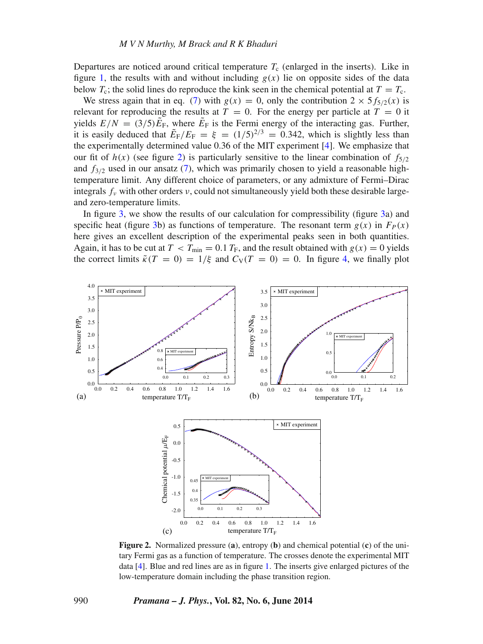Departures are noticed around critical temperature  $T_c$  (enlarged in the inserts). Like in figure [1,](#page-3-1) the results with and without including  $g(x)$  lie on opposite sides of the data below  $T_c$ ; the solid lines do reproduce the kink seen in the chemical potential at  $T = T_c$ .

We stress again that in eq. [\(7\)](#page-2-0) with  $g(x) = 0$ , only the contribution  $2 \times 5f_{5/2}(x)$  is relevant for reproducing the results at  $T = 0$ . For the energy per particle at  $T = 0$  it yields  $E/N = (3/5)\tilde{E}_F$ , where  $\tilde{E}_F$  is the Fermi energy of the interacting gas. Further, it is easily deduced that  $\tilde{E}_F/E_F = \xi = (1/5)^{2/3} = 0.342$ , which is slightly less than the experimentally determined value 0.36 of the MIT experiment [\[4\]](#page-8-0). We emphasize that our fit of  $h(x)$  (see figure [2\)](#page-5-0) is particularly sensitive to the linear combination of  $f_{5/2}$ and  $f_{3/2}$  used in our ansatz [\(7\)](#page-2-0), which was primarily chosen to yield a reasonable hightemperature limit. Any different choice of parameters, or any admixture of Fermi–Dirac integrals  $f_\nu$  with other orders  $\nu$ , could not simultaneously yield both these desirable largeand zero-temperature limits.

In figure [3,](#page-6-0) we show the results of our calculation for compressibility (figure [3a](#page-6-0)) and specific heat (figure [3b](#page-6-0)) as functions of temperature. The resonant term  $g(x)$  in  $F<sub>P</sub>(x)$ here gives an excellent description of the experimental peaks seen in both quantities. Again, it has to be cut at  $T < T_{min} = 0.1 T_F$ , and the result obtained with  $g(x) = 0$  yields the correct limits  $\tilde{\kappa}(T = 0) = 1/\xi$  and  $C_V(T = 0) = 0$ . In figure [4,](#page-7-0) we finally plot

<span id="page-5-0"></span>

**Figure 2.** Normalized pressure (**a**), entropy (**b**) and chemical potential (**c**) of the unitary Fermi gas as a function of temperature. The crosses denote the experimental MIT data [\[4\]](#page-8-0). Blue and red lines are as in figure [1.](#page-3-1) The inserts give enlarged pictures of the low-temperature domain including the phase transition region.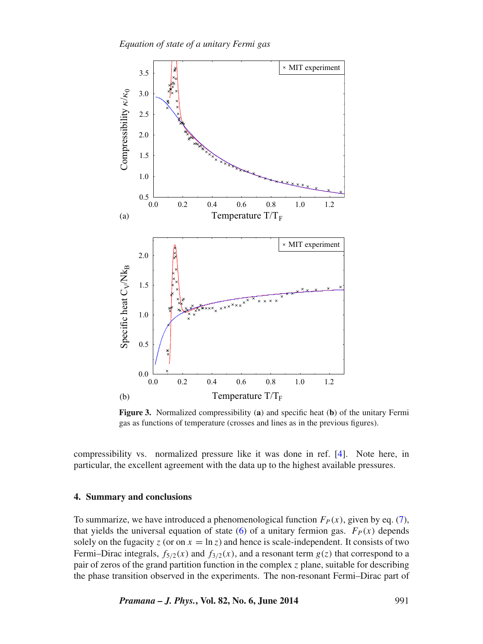*Equation of state of a unitary Fermi gas*

<span id="page-6-0"></span>

**Figure 3.** Normalized compressibility (**a**) and specific heat (**b**) of the unitary Fermi gas as functions of temperature (crosses and lines as in the previous figures).

compressibility vs. normalized pressure like it was done in ref. [\[4\]](#page-8-0). Note here, in particular, the excellent agreement with the data up to the highest available pressures.

### **4. Summary and conclusions**

To summarize, we have introduced a phenomenological function  $F_P(x)$ , given by eq. [\(7\)](#page-2-0), that yields the universal equation of state [\(6\)](#page-2-2) of a unitary fermion gas.  $F<sub>P</sub>(x)$  depends solely on the fugacity  $z$  (or on  $x = \ln z$ ) and hence is scale-independent. It consists of two Fermi–Dirac integrals,  $f_{5/2}(x)$  and  $f_{3/2}(x)$ , and a resonant term  $g(z)$  that correspond to a pair of zeros of the grand partition function in the complex *z* plane, suitable for describing the phase transition observed in the experiments. The non-resonant Fermi–Dirac part of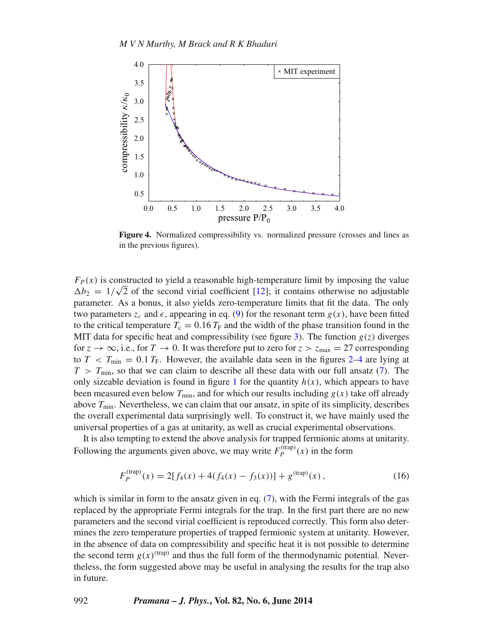<span id="page-7-0"></span>

**Figure 4.** Normalized compressibility vs. normalized pressure (crosses and lines as in the previous figures).

 $F_P(x)$  is constructed to yield a reasonable high-temperature limit by imposing the value  $\Delta b_2 = 1/\sqrt{2}$  of the second virial coefficient [\[12\]](#page-8-9); it contains otherwise no adjustable parameter. As a bonus, it also yields zero-temperature limits that fit the data. The only two parameters  $z_c$  and  $\epsilon$ , appearing in eq. [\(9\)](#page-3-0) for the resonant term  $g(x)$ , have been fitted to the critical temperature  $T_c = 0.16 T_F$  and the width of the phase transition found in the MIT data for specific heat and compressibility (see figure [3\)](#page-6-0). The function  $g(z)$  diverges for  $z \to \infty$ , i.e., for  $T \to 0$ . It was therefore put to zero for  $z > z_{\text{max}} = 27$  corresponding to  $T < T_{\text{min}} = 0.1 T_F$ . However, the available data seen in the figures [2](#page-5-0)[–4](#page-7-0) are lying at  $T > T_{\text{min}}$ , so that we can claim to describe all these data with our full ansatz [\(7\)](#page-2-0). The only sizeable deviation is found in figure [1](#page-3-1) for the quantity  $h(x)$ , which appears to have been measured even below  $T_{\text{min}}$ , and for which our results including  $g(x)$  take off already above *T*min. Nevertheless, we can claim that our ansatz, in spite of its simplicity, describes the overall experimental data surprisingly well. To construct it, we have mainly used the universal properties of a gas at unitarity, as well as crucial experimental observations.

It is also tempting to extend the above analysis for trapped fermionic atoms at unitarity. Following the arguments given above, we may write  $F_p^{(\text{trap})}(x)$  in the form

$$
F_P^{\text{(trap)}}(x) = 2[f_4(x) + 4(f_4(x) - f_3(x))] + g^{\text{(trap)}}(x), \tag{16}
$$

which is similar in form to the ansatz given in eq. [\(7\)](#page-2-0), with the Fermi integrals of the gas replaced by the appropriate Fermi integrals for the trap. In the first part there are no new parameters and the second virial coefficient is reproduced correctly. This form also determines the zero temperature properties of trapped fermionic system at unitarity. However, in the absence of data on compressibility and specific heat it is not possible to determine the second term  $g(x)^{(\text{trap})}$  and thus the full form of the thermodynamic potential. Nevertheless, the form suggested above may be useful in analysing the results for the trap also in future.